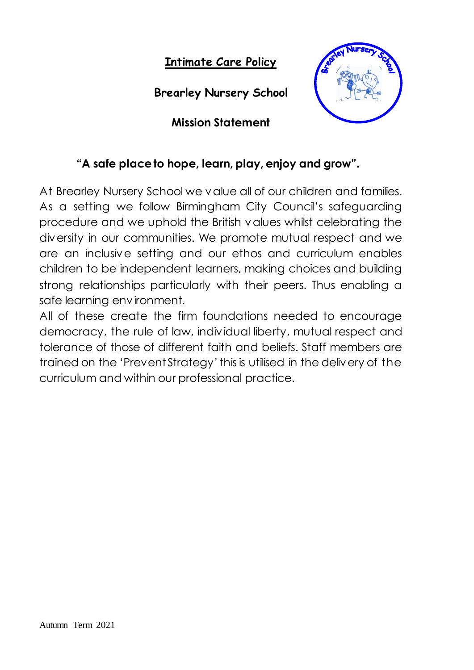**Intimate Care Policy**

**Brearley Nursery School**

**Mission Statement**



## **"A safe place to hope, learn, play, enjoy and grow".**

At Brearley Nursery School we value all of our children and families. As a setting we follow Birmingham City Council's safeguarding procedure and we uphold the British values whilst celebrating the diversity in our communities. We promote mutual respect and we are an inclusive setting and our ethos and curriculum enables children to be independent learners, making choices and building strong relationships particularly with their peers. Thus enabling a safe learning environment.

All of these create the firm foundations needed to encourage democracy, the rule of law, individual liberty, mutual respect and tolerance of those of different faith and beliefs. Staff members are trained on the 'Prevent Strategy' this is utilised in the delivery of the curriculum and within our professional practice.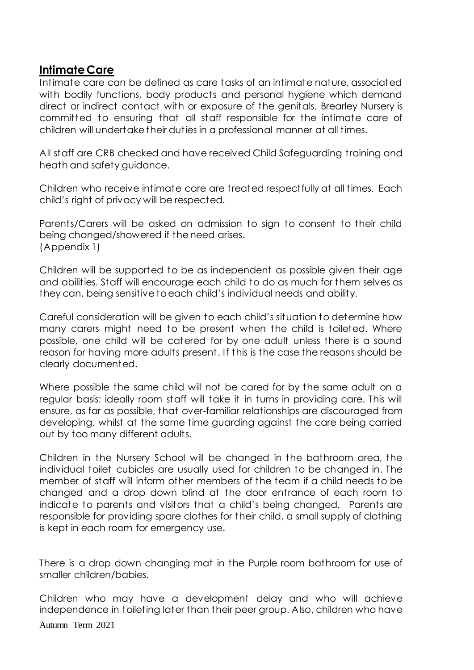## **Intimate Care**

Intimate care can be defined as care tasks of an intimate nature, associated with bodily functions, body products and personal hygiene which demand direct or indirect contact with or exposure of the genitals. Brearley Nursery is committed to ensuring that all staff responsible for the intimate care of children will undertake their duties in a professional manner at all times.

All staff are CRB checked and have received Child Safeguarding training and heath and safety guidance.

Children who receive intimate care are treated respectfully at all times. Each child's right of privacy will be respected.

Parents/Carers will be asked on admission to sign to consent to their child being changed/showered if the need arises. (Appendix 1)

Children will be supported to be as independent as possible given their age and abilities. Staff will encourage each child to do as much for them selves as they can, being sensitive to each child's individual needs and ability.

Careful consideration will be given to each child's situation to determine how many carers might need to be present when the child is toileted. Where possible, one child will be catered for by one adult unless there is a sound reason for having more adults present. If this is the case the reasons should be clearly documented.

Where possible the same child will not be cared for by the same adult on a regular basis: ideally room staff will take it in turns in providing care. This will ensure, as far as possible, that over-familiar relationships are discouraged from developing, whilst at the same time guarding against the care being carried out by too many different adults.

Children in the Nursery School will be changed in the bathroom area, the individual toilet cubicles are usually used for children to be changed in. The member of staff will inform other members of the team if a child needs to be changed and a drop down blind at the door entrance of each room to indicate to parents and visitors that a child's being changed. Parents are responsible for providing spare clothes for their child, a small supply of clothing is kept in each room for emergency use.

There is a drop down changing mat in the Purple room bathroom for use of smaller children/babies.

Autumn Term 2021 Children who may have a development delay and who will achieve independence in toileting later than their peer group. Also, children who have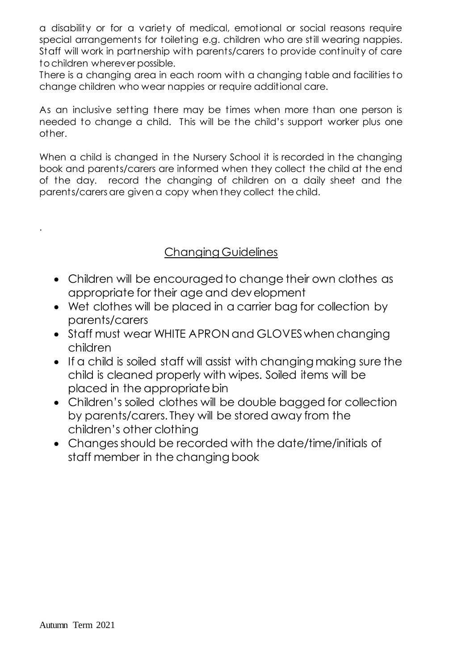a disability or for a variety of medical, emotional or social reasons require special arrangements for toileting e.g. children who are still wearing nappies. Staff will work in partnership with parents/carers to provide continuity of care to children wherever possible.

There is a changing area in each room with a changing table and facilities to change children who wear nappies or require additional care.

As an inclusive setting there may be times when more than one person is needed to change a child. This will be the child's support worker plus one other.

When a child is changed in the Nursery School it is recorded in the changing book and parents/carers are informed when they collect the child at the end of the day. record the changing of children on a daily sheet and the parents/carers are given a copy when they collect the child.

## Changing Guidelines

- Children will be encouraged to change their own clothes as appropriate for their age and development
- Wet clothes will be placed in a carrier bag for collection by parents/carers
- Staff must wear WHITE APRON and GLOVES when changing children
- If a child is soiled staff will assist with changing making sure the child is cleaned properly with wipes. Soiled items will be placed in the appropriate bin
- Children's soiled clothes will be double bagged for collection by parents/carers. They will be stored away from the children's other clothing
- Changes should be recorded with the date/time/initials of staff member in the changing book

.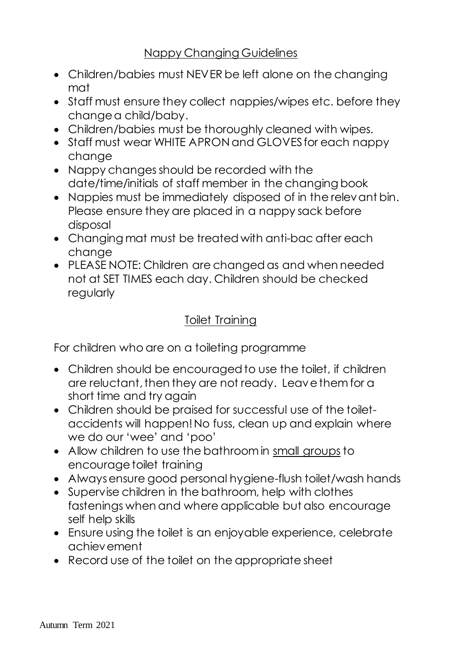- Children/babies must NEVER be left alone on the changing mat
- Staff must ensure they collect nappies/wipes etc. before they change a child/baby.
- Children/babies must be thoroughly cleaned with wipes.
- Staff must wear WHITE APRON and GLOVES for each nappy change
- Nappy changes should be recorded with the date/time/initials of staff member in the changing book
- Nappies must be immediately disposed of in the relevant bin. Please ensure they are placed in a nappy sack before disposal
- Changing mat must be treated with anti-bac after each change
- PLEASE NOTE: Children are changed as and when needed not at SET TIMES each day. Children should be checked regularly

## Toilet Training

For children who are on a toileting programme

- Children should be encouraged to use the toilet, if children are reluctant, then they are not ready. Leave them for a short time and try again
- Children should be praised for successful use of the toiletaccidents will happen! No fuss, clean up and explain where we do our 'wee' and 'poo'
- Allow children to use the bathroom in small groups to encourage toilet training
- Always ensure good personal hygiene-flush toilet/wash hands
- Supervise children in the bathroom, help with clothes fastenings when and where applicable but also encourage self help skills
- Ensure using the toilet is an enjoyable experience, celebrate achievement
- Record use of the toilet on the appropriate sheet